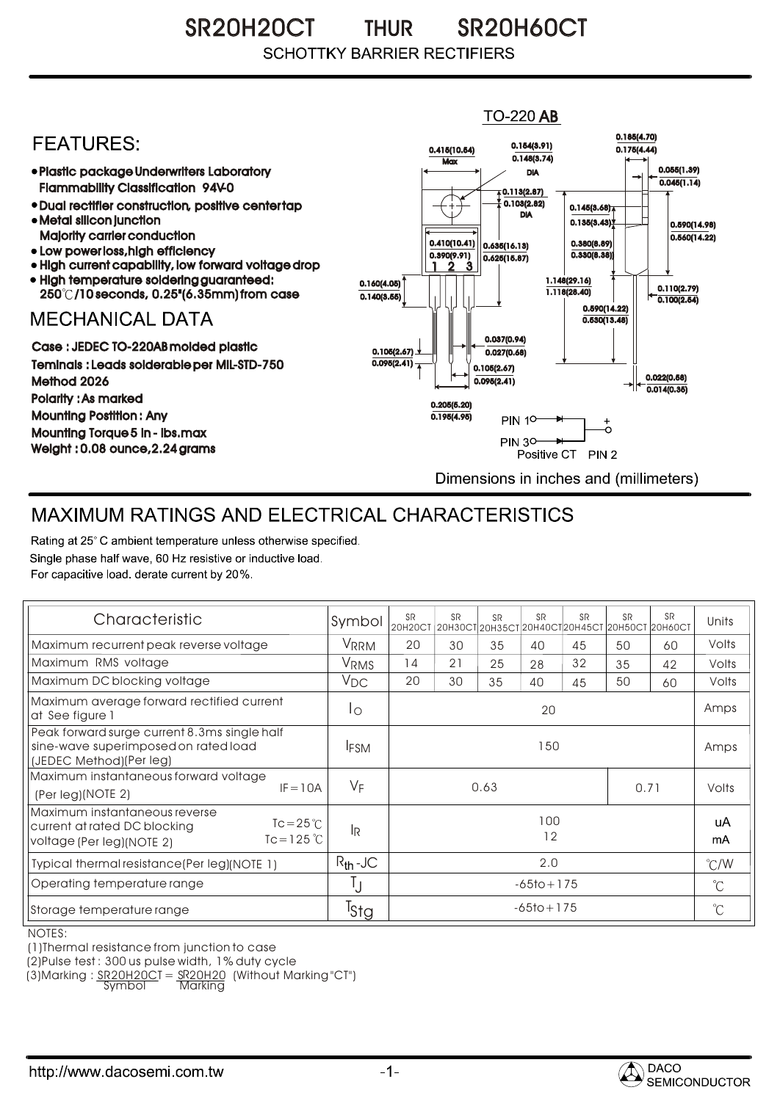SR20H20CT THUR SR20H60CT THUR**SCHOTTKY BARRIER RECTIFIERS** 

## **TO-220 AB** 0.185(4.70) **FFATURFS:** 0.154(3.91) 0.415(10.54) 0.175(4.44)  $0.148(3.74)$ **Max** Plastic package Underwriters Laboratory 0.055(1.39) DIA  $0.045(1.14)$ Flammability Classification 94V-0  $\overline{4}$  0.113(2.87) 0.103(2.82) Dual rectifier construction, positive center tap 0.145(3.68) DIA Metal silicon junction  $0.135(3.43)$ 0.590(14.98) Majority carrier conduction  $0.560(14.22)$ 0.410(10.41) 0.380(8.89) 0.635(16.13) • Low power loss, high efficiency 0.330(8.38)) 0.390(9.91)  $0.625(15.87)$ High current capability, low forward voltage drop 1 3 2 High temperature soldering guaranteed: 1.148(29.16) 0.160(4.05) 0.110(2.79) 250 /10 seconds, 0.25"(6.35mm) from case 1.118(28.40) 0.140(3.55)  $\overline{0.100(2.54)}$ 0.590(14.22) **MECHANICAL DATA**  $0.530(13.48)$ 0.037(0.94) Case : JEDEC TO-220AB molded plastic 0.105(2.67)  $0.027(0.68)$ Teminals : Leads solderable per MIL-STD-750  $0.095(2.41)$ 0.105(2.67) 0.022(0.58) Method 2026  $0.095(2.41)$  $0.014(0.35)$ Polarity : As marked 0.205(5.20) Mounting Postition : Any 0.195(4.95) **PIN 10-** $_{\circ}^{+}$ Mounting Torque 5 in - lbs.max **PIN 30-**÷. Weight : 0.08 ounce,2.24 grams Positive CT PIN 2 Dimensions in inches and (millimeters)

## MAXIMUM RATINGS AND ELECTRICAL CHARACTERISTICS

Rating at 25° C ambient temperature unless otherwise specified. Single phase half wave, 60 Hz resistive or inductive load. For capacitive load, derate current by 20%.

| Characteristic                                                                                                                          | Symbol                | <b>SR</b><br>20Н20СТ 20Н30СТ 20Н35СТ 20Н40СТ 20Н45СТ 20Н50СТ 20Н60СТ | <b>SR</b> | <b>SR</b> | <b>SR</b> | <b>SR</b> | <b>SR</b> | <b>SR</b> | Units         |
|-----------------------------------------------------------------------------------------------------------------------------------------|-----------------------|----------------------------------------------------------------------|-----------|-----------|-----------|-----------|-----------|-----------|---------------|
| Maximum recurrent peak reverse voltage                                                                                                  | VRRM                  | 20                                                                   | 30        | 35        | 40        | 45        | 50        | 60        | Volts         |
| Maximum RMS voltage                                                                                                                     | <b>VRMS</b>           | 14                                                                   | 21        | 25        | 28        | 32        | 35        | 42        | Volts         |
| Maximum DC blocking voltage                                                                                                             | $V_{DC}$              | 20                                                                   | 30        | 35        | 40        | 45        | 50        | 60        | Volts         |
| Maximum average forward rectified current<br>at See figure 1                                                                            | Ιo                    | 20                                                                   |           |           |           |           |           |           | Amps          |
| Peak forward surge current 8.3ms single half<br>sine-wave superimposed on rated load<br>(JEDEC Method)(Per leg)                         | <b>IFSM</b>           | 150                                                                  |           |           |           |           |           |           | Amps          |
| Maximum instantaneous forward voltage                                                                                                   |                       |                                                                      |           |           |           |           |           |           | Volts         |
| $IF = 10A$<br>(Per leg)(NOTE 2)                                                                                                         | $V_F$<br>0.63<br>0.71 |                                                                      |           |           |           |           |           |           |               |
| Maximum instantaneous reverse<br>$Tc = 25^{\circ}C$<br>current at rated DC blocking<br>$Tc = 125^{\circ}C$<br>voltage (Per leg)(NOTE 2) | lŖ                    | 100<br>12                                                            |           |           |           |           |           |           | uA<br>mA      |
| Typical thermal resistance (Per leg) (NOTE 1)                                                                                           | $R_{th}$ -JC          | 2.0                                                                  |           |           |           |           |           |           | $\degree$ C/W |
| Operating temperature range                                                                                                             | IJ                    | $-65$ to + 175                                                       |           |           |           |           |           |           | $^{\circ}$ C  |
| Storage temperature range                                                                                                               | <sup>T</sup> Stg      | $-65$ to + 175                                                       |           |           |           |           |           |           | $^{\circ}C$   |

NOTES:

(1)Thermal resistance from junction to case

(2)Pulse test : 300 us pulse width, 1% duty cycle

(3)Marking : <u>SR20H20C</u>T = <u>SR20H20</u> (Without Marking "CT") R

Symbol Marking